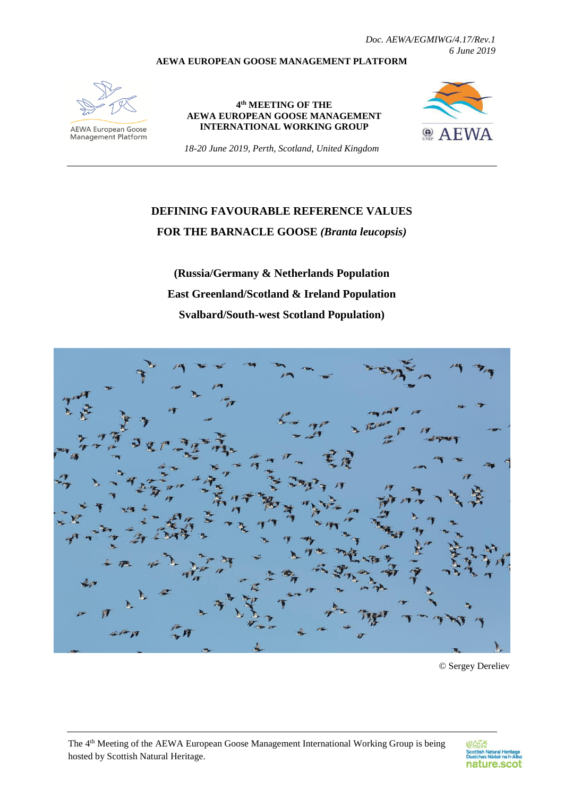*Doc. AEWA/EGMIWG/4.17/Rev.1 6 June 2019*

#### **AEWA EUROPEAN GOOSE MANAGEMENT PLATFORM**



**AEWA European Goose** Management Platform

#### **4 th MEETING OF THE AEWA EUROPEAN GOOSE MANAGEMENT INTERNATIONAL WORKING GROUP**



*18-20 June 2019, Perth, Scotland, United Kingdom*

# **DEFINING FAVOURABLE REFERENCE VALUES FOR THE BARNACLE GOOSE** *(Branta leucopsis)*

**(Russia/Germany & Netherlands Population East Greenland/Scotland & Ireland Population Svalbard/South-west Scotland Population)**



© Sergey Dereliev

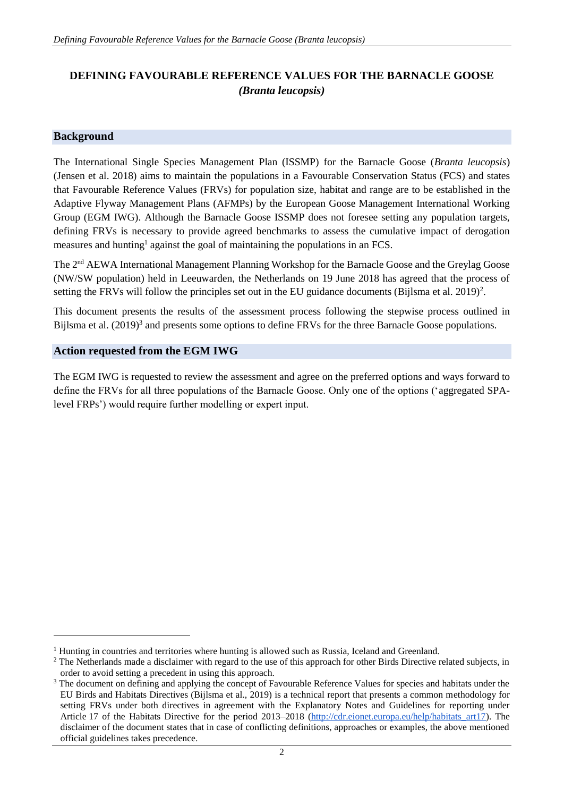## **DEFINING FAVOURABLE REFERENCE VALUES FOR THE BARNACLE GOOSE** *(Branta leucopsis)*

#### **Background**

1

The International Single Species Management Plan (ISSMP) for the Barnacle Goose (*Branta leucopsis*) (Jensen et al. 2018) aims to maintain the populations in a Favourable Conservation Status (FCS) and states that Favourable Reference Values (FRVs) for population size, habitat and range are to be established in the Adaptive Flyway Management Plans (AFMPs) by the European Goose Management International Working Group (EGM IWG). Although the Barnacle Goose ISSMP does not foresee setting any population targets, defining FRVs is necessary to provide agreed benchmarks to assess the cumulative impact of derogation measures and hunting<sup>1</sup> against the goal of maintaining the populations in an FCS.

The 2nd AEWA International Management Planning Workshop for the Barnacle Goose and the Greylag Goose (NW/SW population) held in Leeuwarden, the Netherlands on 19 June 2018 has agreed that the process of setting the FRVs will follow the principles set out in the EU guidance documents (Bijlsma et al. 2019)<sup>2</sup>.

This document presents the results of the assessment process following the stepwise process outlined in Bijlsma et al. (2019)<sup>3</sup> and presents some options to define FRVs for the three Barnacle Goose populations.

#### **Action requested from the EGM IWG**

The EGM IWG is requested to review the assessment and agree on the preferred options and ways forward to define the FRVs for all three populations of the Barnacle Goose. Only one of the options ('aggregated SPAlevel FRPs') would require further modelling or expert input.

<sup>&</sup>lt;sup>1</sup> Hunting in countries and territories where hunting is allowed such as Russia, Iceland and Greenland.

<sup>&</sup>lt;sup>2</sup> The Netherlands made a disclaimer with regard to the use of this approach for other Birds Directive related subjects, in order to avoid setting a precedent in using this approach.

<sup>&</sup>lt;sup>3</sup> The document on defining and applying the concept of Favourable Reference Values for species and habitats under the EU Birds and Habitats Directives (Bijlsma et al., 2019) is a technical report that presents a common methodology for setting FRVs under both directives in agreement with the Explanatory Notes and Guidelines for reporting under Article 17 of the Habitats Directive for the period 2013–2018 [\(http://cdr.eionet.europa.eu/help/habitats\\_art17\)](http://cdr.eionet.europa.eu/help/habitats_art17). The disclaimer of the document states that in case of conflicting definitions, approaches or examples, the above mentioned official guidelines takes precedence.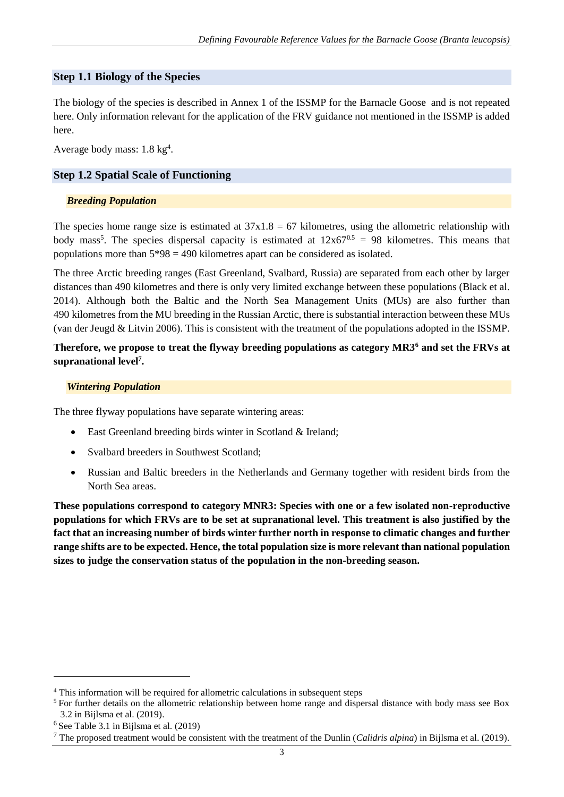#### **Step 1.1 Biology of the Species**

The biology of the species is described in Annex 1 of the ISSMP for the Barnacle Goose and is not repeated here. Only information relevant for the application of the FRV guidance not mentioned in the ISSMP is added here.

Average body mass:  $1.8 \text{ kg}^4$ .

#### **Step 1.2 Spatial Scale of Functioning**

#### *Breeding Population*

The species home range size is estimated at  $37x1.8 = 67$  kilometres, using the allometric relationship with body mass<sup>5</sup>. The species dispersal capacity is estimated at  $12x67^{0.5} = 98$  kilometres. This means that populations more than  $5*98 = 490$  kilometres apart can be considered as isolated.

The three Arctic breeding ranges (East Greenland, Svalbard, Russia) are separated from each other by larger distances than 490 kilometres and there is only very limited exchange between these populations (Black et al. 2014). Although both the Baltic and the North Sea Management Units (MUs) are also further than 490 kilometres from the MU breeding in the Russian Arctic, there is substantial interaction between these MUs (van der Jeugd & Litvin 2006). This is consistent with the treatment of the populations adopted in the ISSMP.

#### **Therefore, we propose to treat the flyway breeding populations as category MR3<sup>6</sup> and set the FRVs at supranational level<sup>7</sup> .**

#### *Wintering Population*

The three flyway populations have separate wintering areas:

- East Greenland breeding birds winter in Scotland & Ireland;
- Svalbard breeders in Southwest Scotland:
- Russian and Baltic breeders in the Netherlands and Germany together with resident birds from the North Sea areas.

**These populations correspond to category MNR3: Species with one or a few isolated non-reproductive populations for which FRVs are to be set at supranational level. This treatment is also justified by the fact that an increasing number of birds winter further north in response to climatic changes and further range shifts are to be expected. Hence, the total population size is more relevant than national population sizes to judge the conservation status of the population in the non-breeding season.**

-

<sup>4</sup> This information will be required for allometric calculations in subsequent steps

<sup>&</sup>lt;sup>5</sup> For further details on the allometric relationship between home range and dispersal distance with body mass see Box 3.2 in Bijlsma et al. (2019).

<sup>6</sup> See Table 3.1 in Bijlsma et al. (2019)

<sup>7</sup> The proposed treatment would be consistent with the treatment of the Dunlin (*Calidris alpina*) in Bijlsma et al. (2019).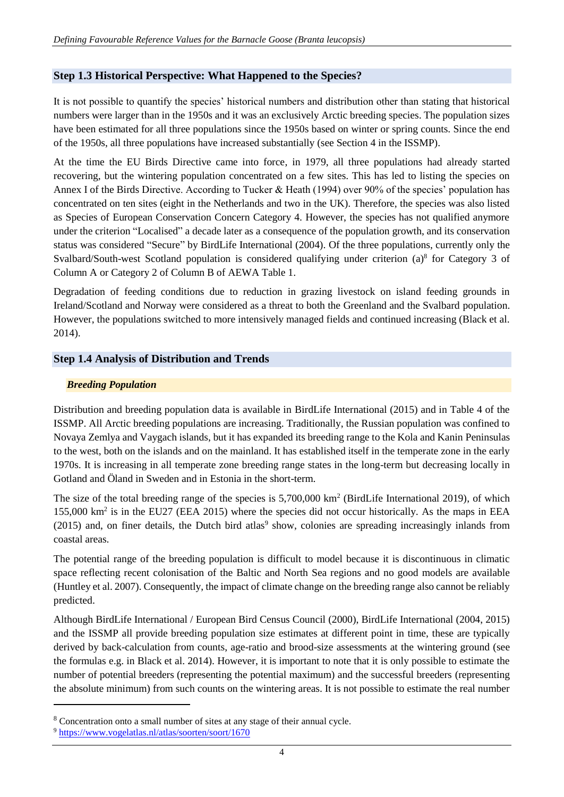#### **Step 1.3 Historical Perspective: What Happened to the Species?**

It is not possible to quantify the species' historical numbers and distribution other than stating that historical numbers were larger than in the 1950s and it was an exclusively Arctic breeding species. The population sizes have been estimated for all three populations since the 1950s based on winter or spring counts. Since the end of the 1950s, all three populations have increased substantially (see Section 4 in the ISSMP).

At the time the EU Birds Directive came into force, in 1979, all three populations had already started recovering, but the wintering population concentrated on a few sites. This has led to listing the species on Annex I of the Birds Directive. According to Tucker & Heath (1994) over 90% of the species' population has concentrated on ten sites (eight in the Netherlands and two in the UK). Therefore, the species was also listed as Species of European Conservation Concern Category 4. However, the species has not qualified anymore under the criterion "Localised" a decade later as a consequence of the population growth, and its conservation status was considered "Secure" by BirdLife International (2004). Of the three populations, currently only the Svalbard/South-west Scotland population is considered qualifying under criterion (a)<sup>8</sup> for Category 3 of Column A or Category 2 of Column B of AEWA Table 1.

Degradation of feeding conditions due to reduction in grazing livestock on island feeding grounds in Ireland/Scotland and Norway were considered as a threat to both the Greenland and the Svalbard population. However, the populations switched to more intensively managed fields and continued increasing (Black et al. 2014).

#### **Step 1.4 Analysis of Distribution and Trends**

#### *Breeding Population*

Distribution and breeding population data is available in BirdLife International (2015) and in Table 4 of the ISSMP. All Arctic breeding populations are increasing. Traditionally, the Russian population was confined to Novaya Zemlya and Vaygach islands, but it has expanded its breeding range to the Kola and Kanin Peninsulas to the west, both on the islands and on the mainland. It has established itself in the temperate zone in the early 1970s. It is increasing in all temperate zone breeding range states in the long-term but decreasing locally in Gotland and Öland in Sweden and in Estonia in the short-term.

The size of the total breeding range of the species is 5,700,000 km<sup>2</sup> (BirdLife International 2019), of which 155,000 km<sup>2</sup> is in the EU27 (EEA 2015) where the species did not occur historically. As the maps in EEA  $(2015)$  and, on finer details, the Dutch bird atlas<sup>9</sup> show, colonies are spreading increasingly inlands from coastal areas.

The potential range of the breeding population is difficult to model because it is discontinuous in climatic space reflecting recent colonisation of the Baltic and North Sea regions and no good models are available (Huntley et al. 2007). Consequently, the impact of climate change on the breeding range also cannot be reliably predicted.

Although BirdLife International / European Bird Census Council (2000), BirdLife International (2004, 2015) and the ISSMP all provide breeding population size estimates at different point in time, these are typically derived by back-calculation from counts, age-ratio and brood-size assessments at the wintering ground (see the formulas e.g. in Black et al. 2014). However, it is important to note that it is only possible to estimate the number of potential breeders (representing the potential maximum) and the successful breeders (representing the absolute minimum) from such counts on the wintering areas. It is not possible to estimate the real number

-

<sup>8</sup> Concentration onto a small number of sites at any stage of their annual cycle.

<sup>9</sup> <https://www.vogelatlas.nl/atlas/soorten/soort/1670>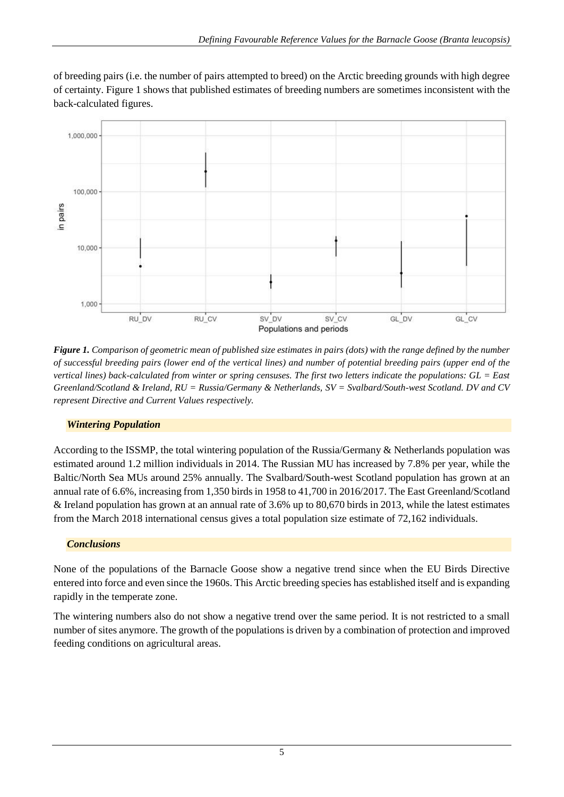of breeding pairs (i.e. the number of pairs attempted to breed) on the Arctic breeding grounds with high degree of certainty. Figure 1 shows that published estimates of breeding numbers are sometimes inconsistent with the back-calculated figures.



*Figure 1. Comparison of geometric mean of published size estimates in pairs (dots) with the range defined by the number of successful breeding pairs (lower end of the vertical lines) and number of potential breeding pairs (upper end of the vertical lines) back-calculated from winter or spring censuses. The first two letters indicate the populations: GL = East Greenland/Scotland & Ireland, RU = Russia/Germany & Netherlands, SV = Svalbard/South-west Scotland. DV and CV represent Directive and Current Values respectively.*

### *Wintering Population*

According to the ISSMP, the total wintering population of the Russia/Germany & Netherlands population was estimated around 1.2 million individuals in 2014. The Russian MU has increased by 7.8% per year, while the Baltic/North Sea MUs around 25% annually. The Svalbard/South-west Scotland population has grown at an annual rate of 6.6%, increasing from 1,350 birds in 1958 to 41,700 in 2016/2017. The East Greenland/Scotland & Ireland population has grown at an annual rate of 3.6% up to 80,670 birds in 2013, while the latest estimates from the March 2018 international census gives a total population size estimate of 72,162 individuals.

### *Conclusions*

None of the populations of the Barnacle Goose show a negative trend since when the EU Birds Directive entered into force and even since the 1960s. This Arctic breeding species has established itself and is expanding rapidly in the temperate zone.

The wintering numbers also do not show a negative trend over the same period. It is not restricted to a small number of sites anymore. The growth of the populations is driven by a combination of protection and improved feeding conditions on agricultural areas.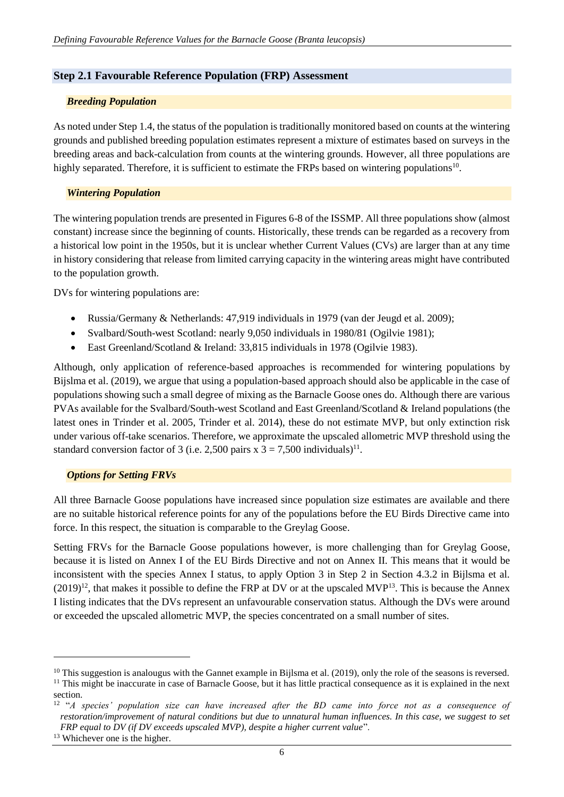#### **Step 2.1 Favourable Reference Population (FRP) Assessment**

#### *Breeding Population*

As noted under Step 1.4, the status of the population is traditionally monitored based on counts at the wintering grounds and published breeding population estimates represent a mixture of estimates based on surveys in the breeding areas and back-calculation from counts at the wintering grounds. However, all three populations are highly separated. Therefore, it is sufficient to estimate the FRPs based on wintering populations<sup>10</sup>.

#### *Wintering Population*

The wintering population trends are presented in Figures 6-8 of the ISSMP. All three populations show (almost constant) increase since the beginning of counts. Historically, these trends can be regarded as a recovery from a historical low point in the 1950s, but it is unclear whether Current Values (CVs) are larger than at any time in history considering that release from limited carrying capacity in the wintering areas might have contributed to the population growth.

DVs for wintering populations are:

- Russia/Germany & Netherlands: 47,919 individuals in 1979 (van der Jeugd et al. 2009);
- Svalbard/South-west Scotland: nearly 9,050 individuals in 1980/81 (Ogilvie 1981);
- East Greenland/Scotland & Ireland: 33,815 individuals in 1978 (Ogilvie 1983).

Although, only application of reference-based approaches is recommended for wintering populations by Bijslma et al. (2019), we argue that using a population-based approach should also be applicable in the case of populations showing such a small degree of mixing as the Barnacle Goose ones do. Although there are various PVAs available for the Svalbard/South-west Scotland and East Greenland/Scotland & Ireland populations (the latest ones in Trinder et al. 2005, Trinder et al. 2014), these do not estimate MVP, but only extinction risk under various off-take scenarios. Therefore, we approximate the upscaled allometric MVP threshold using the standard conversion factor of 3 (i.e. 2,500 pairs x  $3 = 7,500$  individuals)<sup>11</sup>.

#### *Options for Setting FRVs*

All three Barnacle Goose populations have increased since population size estimates are available and there are no suitable historical reference points for any of the populations before the EU Birds Directive came into force. In this respect, the situation is comparable to the Greylag Goose.

Setting FRVs for the Barnacle Goose populations however, is more challenging than for Greylag Goose, because it is listed on Annex I of the EU Birds Directive and not on Annex II. This means that it would be inconsistent with the species Annex I status, to apply Option 3 in Step 2 in Section 4.3.2 in Bijlsma et al.  $(2019)^{12}$ , that makes it possible to define the FRP at DV or at the upscaled MVP<sup>13</sup>. This is because the Annex I listing indicates that the DVs represent an unfavourable conservation status. Although the DVs were around or exceeded the upscaled allometric MVP, the species concentrated on a small number of sites.

1

 $10$  This suggestion is analougus with the Gannet example in Bijlsma et al. (2019), only the role of the seasons is reversed. <sup>11</sup> This might be inaccurate in case of Barnacle Goose, but it has little practical consequence as it is explained in the next section.

<sup>12</sup> "*A species' population size can have increased after the BD came into force not as a consequence of restoration/improvement of natural conditions but due to unnatural human influences. In this case, we suggest to set FRP equal to DV (if DV exceeds upscaled MVP), despite a higher current value*".

<sup>&</sup>lt;sup>13</sup> Whichever one is the higher.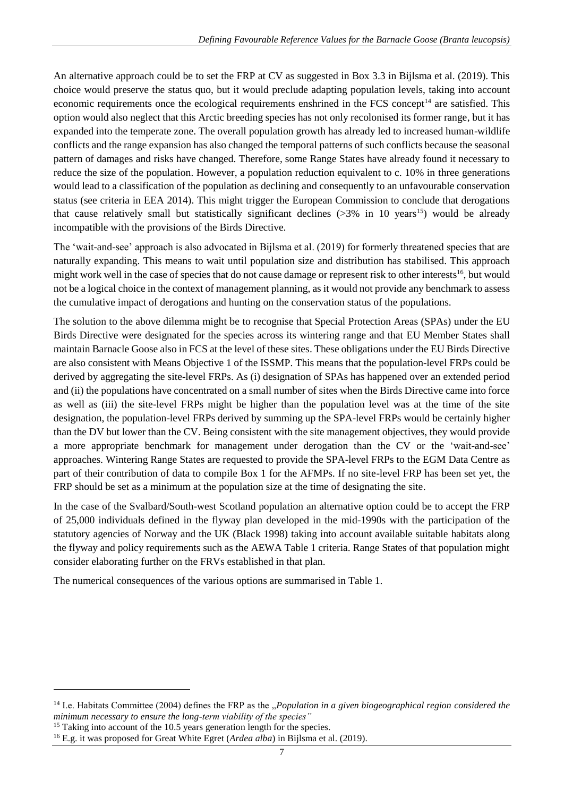An alternative approach could be to set the FRP at CV as suggested in Box 3.3 in Bijlsma et al. (2019). This choice would preserve the status quo, but it would preclude adapting population levels, taking into account economic requirements once the ecological requirements enshrined in the FCS concept<sup>14</sup> are satisfied. This option would also neglect that this Arctic breeding species has not only recolonised its former range, but it has expanded into the temperate zone. The overall population growth has already led to increased human-wildlife conflicts and the range expansion has also changed the temporal patterns of such conflicts because the seasonal pattern of damages and risks have changed. Therefore, some Range States have already found it necessary to reduce the size of the population. However, a population reduction equivalent to c. 10% in three generations would lead to a classification of the population as declining and consequently to an unfavourable conservation status (see criteria in EEA 2014). This might trigger the European Commission to conclude that derogations that cause relatively small but statistically significant declines  $(>3\%$  in 10 years<sup>15</sup>) would be already incompatible with the provisions of the Birds Directive.

The 'wait-and-see' approach is also advocated in Bijlsma et al. (2019) for formerly threatened species that are naturally expanding. This means to wait until population size and distribution has stabilised. This approach might work well in the case of species that do not cause damage or represent risk to other interests<sup>16</sup>, but would not be a logical choice in the context of management planning, as it would not provide any benchmark to assess the cumulative impact of derogations and hunting on the conservation status of the populations.

The solution to the above dilemma might be to recognise that Special Protection Areas (SPAs) under the EU Birds Directive were designated for the species across its wintering range and that EU Member States shall maintain Barnacle Goose also in FCS at the level of these sites. These obligations under the EU Birds Directive are also consistent with Means Objective 1 of the ISSMP. This means that the population-level FRPs could be derived by aggregating the site-level FRPs. As (i) designation of SPAs has happened over an extended period and (ii) the populations have concentrated on a small number of sites when the Birds Directive came into force as well as (iii) the site-level FRPs might be higher than the population level was at the time of the site designation, the population-level FRPs derived by summing up the SPA-level FRPs would be certainly higher than the DV but lower than the CV. Being consistent with the site management objectives, they would provide a more appropriate benchmark for management under derogation than the CV or the 'wait-and-see' approaches. Wintering Range States are requested to provide the SPA-level FRPs to the EGM Data Centre as part of their contribution of data to compile Box 1 for the AFMPs. If no site-level FRP has been set yet, the FRP should be set as a minimum at the population size at the time of designating the site.

In the case of the Svalbard/South-west Scotland population an alternative option could be to accept the FRP of 25,000 individuals defined in the flyway plan developed in the mid-1990s with the participation of the statutory agencies of Norway and the UK (Black 1998) taking into account available suitable habitats along the flyway and policy requirements such as the AEWA Table 1 criteria. Range States of that population might consider elaborating further on the FRVs established in that plan.

The numerical consequences of the various options are summarised in Table 1.

<sup>15</sup> Taking into account of the 10.5 years generation length for the species.

-

<sup>&</sup>lt;sup>14</sup> I.e. Habitats Committee (2004) defines the FRP as the "*Population in a given biogeographical region considered the minimum necessary to ensure the long-term viability of the species"*

<sup>16</sup> E.g. it was proposed for Great White Egret (*Ardea alba*) in Bijlsma et al. (2019).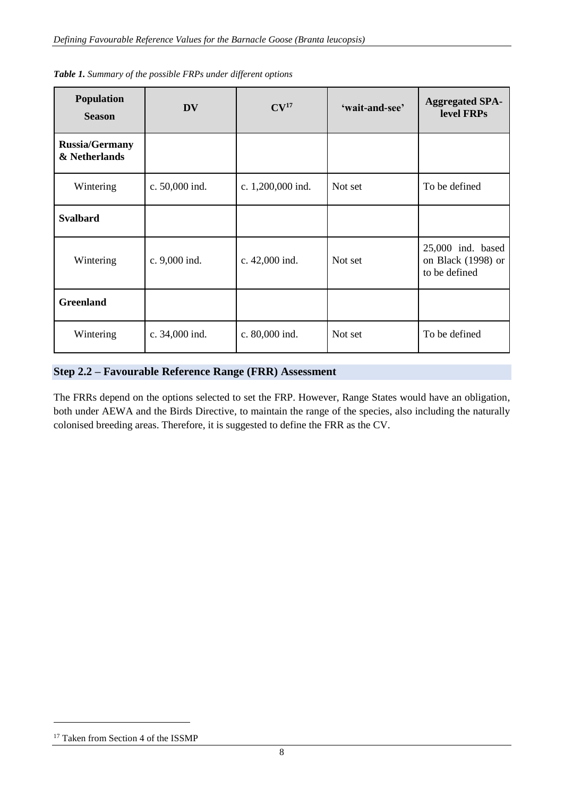| <b>Population</b><br><b>Season</b>     | <b>DV</b>      | CV <sup>17</sup>  | 'wait-and-see' | <b>Aggregated SPA-</b><br>level FRPs                       |
|----------------------------------------|----------------|-------------------|----------------|------------------------------------------------------------|
| <b>Russia/Germany</b><br>& Netherlands |                |                   |                |                                                            |
| Wintering                              | c. 50,000 ind. | c. 1,200,000 ind. | Not set        | To be defined                                              |
| <b>Svalbard</b>                        |                |                   |                |                                                            |
| Wintering                              | c. 9,000 ind.  | c. 42,000 ind.    | Not set        | $25,000$ ind. based<br>on Black (1998) or<br>to be defined |
| <b>Greenland</b>                       |                |                   |                |                                                            |
| Wintering                              | c. 34,000 ind. | c. 80,000 ind.    | Not set        | To be defined                                              |

*Table 1. Summary of the possible FRPs under different options*

### **Step 2.2 – Favourable Reference Range (FRR) Assessment**

The FRRs depend on the options selected to set the FRP. However, Range States would have an obligation, both under AEWA and the Birds Directive, to maintain the range of the species, also including the naturally colonised breeding areas. Therefore, it is suggested to define the FRR as the CV.

1

<sup>&</sup>lt;sup>17</sup> Taken from Section 4 of the ISSMP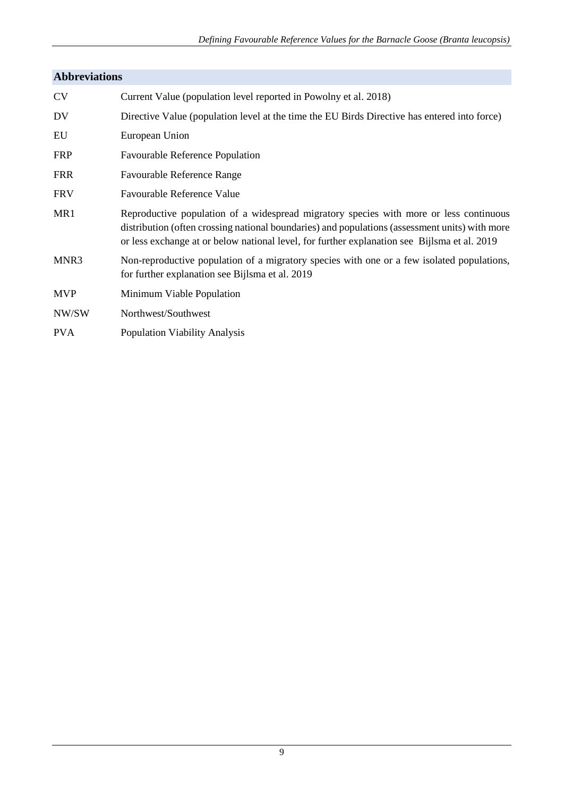# **Abbreviations**

| <b>CV</b>  | Current Value (population level reported in Powolny et al. 2018)                                                                                                                                                                                                                         |
|------------|------------------------------------------------------------------------------------------------------------------------------------------------------------------------------------------------------------------------------------------------------------------------------------------|
| DV         | Directive Value (population level at the time the EU Birds Directive has entered into force)                                                                                                                                                                                             |
| EU         | European Union                                                                                                                                                                                                                                                                           |
| <b>FRP</b> | <b>Favourable Reference Population</b>                                                                                                                                                                                                                                                   |
| <b>FRR</b> | <b>Favourable Reference Range</b>                                                                                                                                                                                                                                                        |
| <b>FRV</b> | Favourable Reference Value                                                                                                                                                                                                                                                               |
| MR1        | Reproductive population of a widespread migratory species with more or less continuous<br>distribution (often crossing national boundaries) and populations (assessment units) with more<br>or less exchange at or below national level, for further explanation see Bijlsma et al. 2019 |
| MNR3       | Non-reproductive population of a migratory species with one or a few isolated populations,<br>for further explanation see Bijlsma et al. 2019                                                                                                                                            |
| <b>MVP</b> | Minimum Viable Population                                                                                                                                                                                                                                                                |
| NW/SW      | Northwest/Southwest                                                                                                                                                                                                                                                                      |
| <b>PVA</b> | <b>Population Viability Analysis</b>                                                                                                                                                                                                                                                     |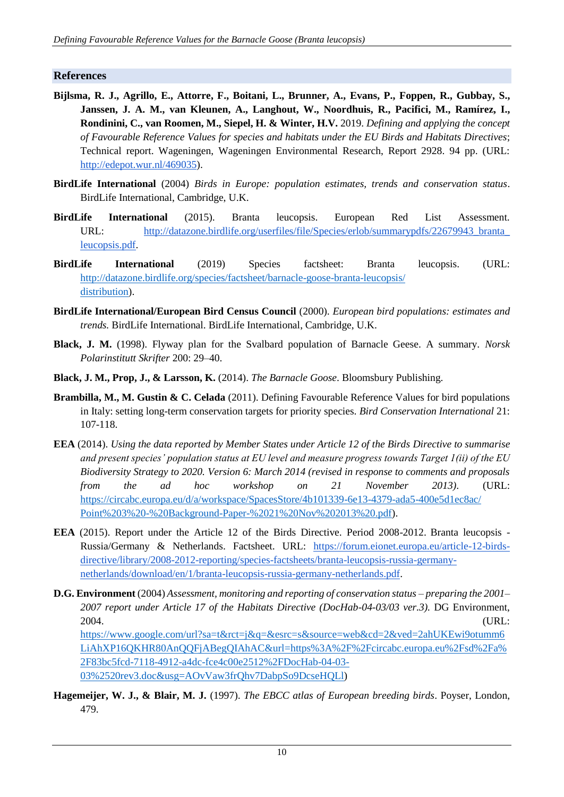#### **References**

- **Bijlsma, R. J., Agrillo, E., Attorre, F., Boitani, L., Brunner, A., Evans, P., Foppen, R., Gubbay, S., Janssen, J. A. M., van Kleunen, A., Langhout, W., Noordhuis, R., Pacifici, M., Ramírez, I., Rondinini, C., van Roomen, M., Siepel, H. & Winter, H.V.** 2019. *Defining and applying the concept of Favourable Reference Values for species and habitats under the EU Birds and Habitats Directives*; Technical report. Wageningen, Wageningen Environmental Research, Report 2928. 94 pp. (URL[:](http://edepot.wur.nl/469035) [http://edepot.wur.nl/469035\)](http://edepot.wur.nl/469035).
- **BirdLife International** (2004) *Birds in Europe: population estimates, trends and conservation status*. BirdLife International, Cambridge, U.K.
- **BirdLife International** (2015). Branta leucopsis. European Red List Assessment. URL: [http://datazone.birdlife.org/userfiles/file/Species/erlob/summarypdfs/22679943\\_branta\\_](http://datazone.birdlife.org/userfiles/file/Species/erlob/summarypdfs/22679943_branta_leucopsis.pdf) [leucopsis.pdf.](http://datazone.birdlife.org/userfiles/file/Species/erlob/summarypdfs/22679943_branta_leucopsis.pdf)
- **BirdLife International** (2019) Species factsheet: Branta leucopsis. (URL: [http://datazone.birdlife.org/species/factsheet/barnacle-goose-branta-leucopsis/](http://datazone.birdlife.org/species/factsheet/barnacle-goose-branta-leucopsis/distribution) [distribution\)](http://datazone.birdlife.org/species/factsheet/barnacle-goose-branta-leucopsis/distribution).
- **BirdLife International/European Bird Census Council** (2000). *European bird populations: estimates and trends.* BirdLife International. BirdLife International, Cambridge, U.K.
- **Black, J. M.** (1998). Flyway plan for the Svalbard population of Barnacle Geese. A summary. *Norsk Polarinstitutt Skrifter* 200: 29–40.
- **Black, J. M., Prop, J., & Larsson, K.** (2014). *The Barnacle Goose*. Bloomsbury Publishing.
- **Brambilla, M., M. Gustin & C. Celada** (2011). Defining Favourable Reference Values for bird populations in Italy: setting long-term conservation targets for priority species. *Bird Conservation International* 21: 107-118.
- **EEA** (2014). *Using the data reported by Member States under Article 12 of the Birds Directive to summarise and present species' population status at EU level and measure progress towards Target 1(ii) of the EU Biodiversity Strategy to 2020. Version 6: March 2014 (revised in response to comments and proposals from the ad hoc workshop on 21 November 2013)*. (URL: [https://circabc.europa.eu/d/a/workspace/SpacesStore/4b101339-6e13-4379-ada5-400e5d1ec8ac/](https://circabc.europa.eu/d/a/workspace/SpacesStore/4b101339-6e13-4379-ada5-400e5d1ec8ac/Point%203%20-%20Background-Paper-%2021%20Nov%202013%20.pdf) [Point%203%20-%20Background-Paper-%2021%20Nov%202013%20.pdf\)](https://circabc.europa.eu/d/a/workspace/SpacesStore/4b101339-6e13-4379-ada5-400e5d1ec8ac/Point%203%20-%20Background-Paper-%2021%20Nov%202013%20.pdf).
- **EEA** (2015). Report under the Article 12 of the Birds Directive. Period 2008-2012. Branta leucopsis Russia/Germany & Netherlands. Factsheet. URL: [https://forum.eionet.europa.eu/article-12-birds](https://forum.eionet.europa.eu/article-12-birds-directive/library/2008-2012-reporting/species-factsheets/branta-leucopsis-russia-germany-netherlands/download/en/1/branta-leucopsis-russia-germany-netherlands.pdf)[directive/library/2008-2012-reporting/species-factsheets/branta-leucopsis-russia-germany](https://forum.eionet.europa.eu/article-12-birds-directive/library/2008-2012-reporting/species-factsheets/branta-leucopsis-russia-germany-netherlands/download/en/1/branta-leucopsis-russia-germany-netherlands.pdf)[netherlands/download/en/1/branta-leucopsis-russia-germany-netherlands.pdf.](https://forum.eionet.europa.eu/article-12-birds-directive/library/2008-2012-reporting/species-factsheets/branta-leucopsis-russia-germany-netherlands/download/en/1/branta-leucopsis-russia-germany-netherlands.pdf)
- **D.G. Environment** (2004) *Assessment, monitoring and reporting of conservation status – preparing the 2001– 2007 report under Article 17 of the Habitats Directive (DocHab-04-03/03 ver.3).* DG Environment, 2004. (URL: [https://www.google.com/url?sa=t&rct=j&q=&esrc=s&source=web&cd=2&ved=2ahUKEwi9otumm6](https://www.google.com/url?sa=t&rct=j&q=&esrc=s&source=web&cd=2&ved=2ahUKEwi9otumm6LiAhXP16QKHR80AnQQFjABegQIAhAC&url=https%3A%2F%2Fcircabc.europa.eu%2Fsd%2Fa%2F83bc5fcd-7118-4912-a4dc-fce4c00e2512%2FDocHab-04-03-03%2520rev3.doc&usg=AOvVaw3frQhv7DabpSo9DcseHQLl) [LiAhXP16QKHR80AnQQFjABegQIAhAC&url=https%3A%2F%2Fcircabc.europa.eu%2Fsd%2Fa%](https://www.google.com/url?sa=t&rct=j&q=&esrc=s&source=web&cd=2&ved=2ahUKEwi9otumm6LiAhXP16QKHR80AnQQFjABegQIAhAC&url=https%3A%2F%2Fcircabc.europa.eu%2Fsd%2Fa%2F83bc5fcd-7118-4912-a4dc-fce4c00e2512%2FDocHab-04-03-03%2520rev3.doc&usg=AOvVaw3frQhv7DabpSo9DcseHQLl) [2F83bc5fcd-7118-4912-a4dc-fce4c00e2512%2FDocHab-04-03-](https://www.google.com/url?sa=t&rct=j&q=&esrc=s&source=web&cd=2&ved=2ahUKEwi9otumm6LiAhXP16QKHR80AnQQFjABegQIAhAC&url=https%3A%2F%2Fcircabc.europa.eu%2Fsd%2Fa%2F83bc5fcd-7118-4912-a4dc-fce4c00e2512%2FDocHab-04-03-03%2520rev3.doc&usg=AOvVaw3frQhv7DabpSo9DcseHQLl) [03%2520rev3.doc&usg=AOvVaw3frQhv7DabpSo9DcseHQLl\)](https://www.google.com/url?sa=t&rct=j&q=&esrc=s&source=web&cd=2&ved=2ahUKEwi9otumm6LiAhXP16QKHR80AnQQFjABegQIAhAC&url=https%3A%2F%2Fcircabc.europa.eu%2Fsd%2Fa%2F83bc5fcd-7118-4912-a4dc-fce4c00e2512%2FDocHab-04-03-03%2520rev3.doc&usg=AOvVaw3frQhv7DabpSo9DcseHQLl)
- **Hagemeijer, W. J., & Blair, M. J.** (1997). *The EBCC atlas of European breeding birds*. Poyser, London, 479.